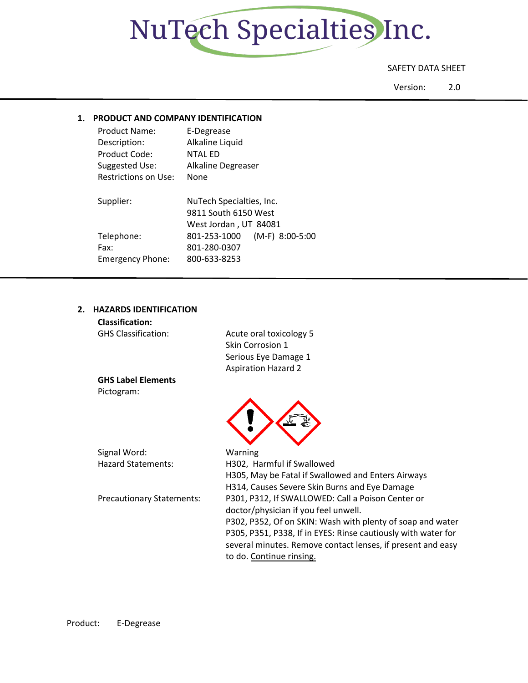

### SAFETY DATA SHEET

Version: 2.0

## **1. PRODUCT AND COMPANY IDENTIFICATION**

| <b>Product Name:</b>        | E-Degrease                                       |
|-----------------------------|--------------------------------------------------|
| Description:                | Alkaline Liquid                                  |
| Product Code:               | <b>NTAL ED</b>                                   |
| Suggested Use:              | Alkaline Degreaser                               |
| <b>Restrictions on Use:</b> | None                                             |
| Supplier:                   | NuTech Specialties, Inc.<br>9811 South 6150 West |
|                             | West Jordan, UT 84081                            |
| Telephone:                  | (M-F) 8:00-5:00<br>801-253-1000                  |
| Fax:                        | 801-280-0307                                     |
| <b>Emergency Phone:</b>     | 800-633-8253                                     |
|                             |                                                  |

## **2. HAZARDS IDENTIFICATION**

| <b>Classification:</b>           |                                                               |
|----------------------------------|---------------------------------------------------------------|
| <b>GHS Classification:</b>       | Acute oral toxicology 5                                       |
|                                  | Skin Corrosion 1                                              |
|                                  | Serious Eye Damage 1                                          |
|                                  | <b>Aspiration Hazard 2</b>                                    |
| <b>GHS Label Elements</b>        |                                                               |
| Pictogram:                       |                                                               |
|                                  |                                                               |
|                                  |                                                               |
|                                  |                                                               |
|                                  |                                                               |
| Signal Word:                     | Warning                                                       |
| <b>Hazard Statements:</b>        | H302, Harmful if Swallowed                                    |
|                                  | H305, May be Fatal if Swallowed and Enters Airways            |
|                                  | H314, Causes Severe Skin Burns and Eye Damage                 |
| <b>Precautionary Statements:</b> | P301, P312, If SWALLOWED: Call a Poison Center or             |
|                                  | doctor/physician if you feel unwell.                          |
|                                  | P302, P352, Of on SKIN: Wash with plenty of soap and water    |
|                                  | P305, P351, P338, If in EYES: Rinse cautiously with water for |
|                                  | several minutes. Remove contact lenses, if present and easy   |
|                                  | to do. Continue rinsing.                                      |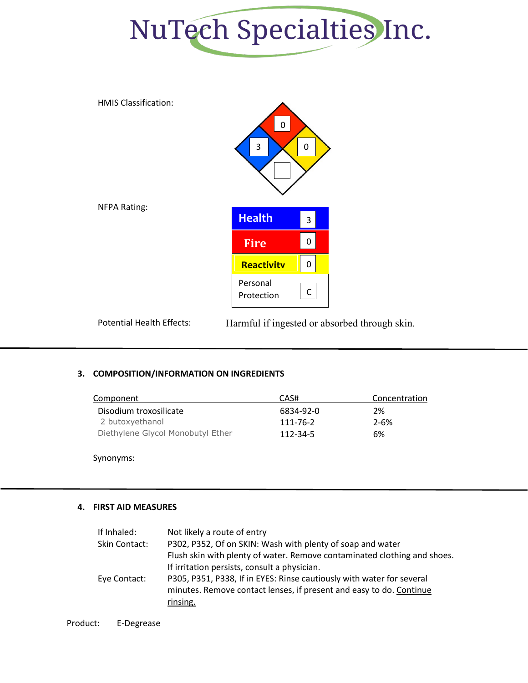



Potential Health Effects: Harmful if ingested or absorbed through skin.

## **3. COMPOSITION/INFORMATION ON INGREDIENTS**

| Component                         | CAS#           | Concentration |
|-----------------------------------|----------------|---------------|
| Disodium troxosilicate            | 6834-92-0      | 2%            |
| 2 butoxyethanol                   | 111-76-2       | $2 - 6%$      |
| Diethylene Glycol Monobutyl Ether | $112 - 34 - 5$ | 6%            |

Synonyms:

## **4. FIRST AID MEASURES**

| If Inhaled:   | Not likely a route of entry                                              |
|---------------|--------------------------------------------------------------------------|
| Skin Contact: | P302, P352, Of on SKIN: Wash with plenty of soap and water               |
|               | Flush skin with plenty of water. Remove contaminated clothing and shoes. |
|               | If irritation persists, consult a physician.                             |
| Eye Contact:  | P305, P351, P338, If in EYES: Rinse cautiously with water for several    |
|               | minutes. Remove contact lenses, if present and easy to do. Continue      |
|               | rinsing.                                                                 |
|               |                                                                          |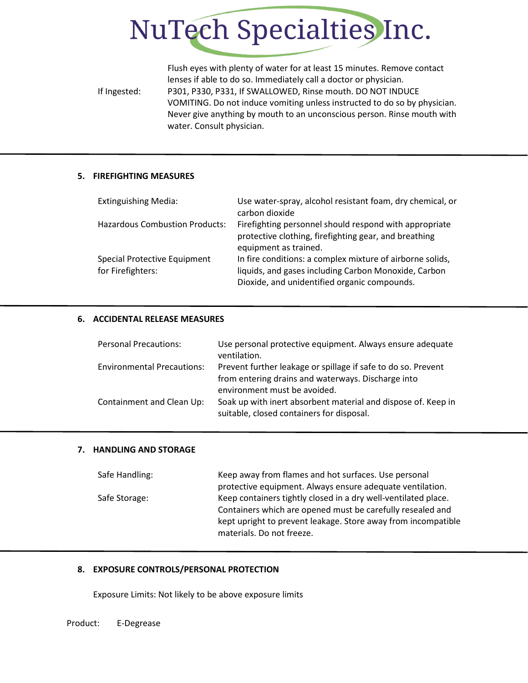

Flush eyes with plenty of water for at least 15 minutes. Remove contact lenses if able to do so. Immediately call a doctor or physician. If Ingested: P301, P330, P331, If SWALLOWED, Rinse mouth. DO NOT INDUCE VOMITING. Do not induce vomiting unless instructed to do so by physician. Never give anything by mouth to an unconscious person. Rinse mouth with water. Consult physician.

## **5. FIREFIGHTING MEASURES**

| <b>Extinguishing Media:</b>                       | Use water-spray, alcohol resistant foam, dry chemical, or<br>carbon dioxide                                                                                       |
|---------------------------------------------------|-------------------------------------------------------------------------------------------------------------------------------------------------------------------|
| <b>Hazardous Combustion Products:</b>             | Firefighting personnel should respond with appropriate<br>protective clothing, firefighting gear, and breathing<br>equipment as trained.                          |
| Special Protective Equipment<br>for Firefighters: | In fire conditions: a complex mixture of airborne solids,<br>liquids, and gases including Carbon Monoxide, Carbon<br>Dioxide, and unidentified organic compounds. |

#### **6. ACCIDENTAL RELEASE MEASURES**

| <b>Personal Precautions:</b>      | Use personal protective equipment. Always ensure adequate<br>ventilation.                                           |
|-----------------------------------|---------------------------------------------------------------------------------------------------------------------|
| <b>Environmental Precautions:</b> | Prevent further leakage or spillage if safe to do so. Prevent<br>from entering drains and waterways. Discharge into |
| Containment and Clean Up:         | environment must be avoided.<br>Soak up with inert absorbent material and dispose of. Keep in                       |
|                                   | suitable, closed containers for disposal.                                                                           |

#### **7. HANDLING AND STORAGE**

| Keep away from flames and hot surfaces. Use personal           |
|----------------------------------------------------------------|
| protective equipment. Always ensure adequate ventilation.      |
| Keep containers tightly closed in a dry well-ventilated place. |
| Containers which are opened must be carefully resealed and     |
| kept upright to prevent leakage. Store away from incompatible  |
| materials. Do not freeze.                                      |
|                                                                |

## **8. EXPOSURE CONTROLS/PERSONAL PROTECTION**

Exposure Limits: Not likely to be above exposure limits

Product: E-Degrease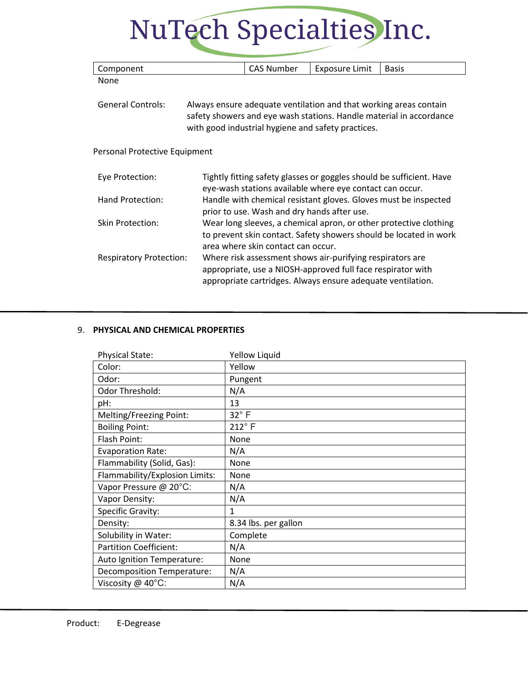# NuTech Specialties Inc.

| Component                      | <b>CAS Number</b>                           | <b>Exposure Limit</b>                                                                                                                                                                   | <b>Basis</b>                                                                                                                           |
|--------------------------------|---------------------------------------------|-----------------------------------------------------------------------------------------------------------------------------------------------------------------------------------------|----------------------------------------------------------------------------------------------------------------------------------------|
| None                           |                                             |                                                                                                                                                                                         |                                                                                                                                        |
| <b>General Controls:</b>       |                                             | Always ensure adequate ventilation and that working areas contain                                                                                                                       | safety showers and eye wash stations. Handle material in accordance                                                                    |
|                                |                                             | with good industrial hygiene and safety practices.                                                                                                                                      |                                                                                                                                        |
| Personal Protective Equipment  |                                             |                                                                                                                                                                                         |                                                                                                                                        |
| Eye Protection:                |                                             | eye-wash stations available where eye contact can occur.                                                                                                                                | Tightly fitting safety glasses or goggles should be sufficient. Have                                                                   |
| Hand Protection:               | prior to use. Wash and dry hands after use. |                                                                                                                                                                                         | Handle with chemical resistant gloves. Gloves must be inspected                                                                        |
| <b>Skin Protection:</b>        | area where skin contact can occur.          |                                                                                                                                                                                         | Wear long sleeves, a chemical apron, or other protective clothing<br>to prevent skin contact. Safety showers should be located in work |
| <b>Respiratory Protection:</b> |                                             | Where risk assessment shows air-purifying respirators are<br>appropriate, use a NIOSH-approved full face respirator with<br>appropriate cartridges. Always ensure adequate ventilation. |                                                                                                                                        |

## 9. **PHYSICAL AND CHEMICAL PROPERTIES**

| <b>Physical State:</b>         | Yellow Liquid        |
|--------------------------------|----------------------|
| Color:                         | Yellow               |
| Odor:                          | Pungent              |
| Odor Threshold:                | N/A                  |
| pH:                            | 13                   |
| Melting/Freezing Point:        | $32^\circ$ F         |
| <b>Boiling Point:</b>          | $212^{\circ}$ F      |
| Flash Point:                   | None                 |
| <b>Evaporation Rate:</b>       | N/A                  |
| Flammability (Solid, Gas):     | None                 |
| Flammability/Explosion Limits: | None                 |
| Vapor Pressure @ 20°C:         | N/A                  |
| Vapor Density:                 | N/A                  |
| Specific Gravity:              | 1                    |
| Density:                       | 8.34 lbs. per gallon |
| Solubility in Water:           | Complete             |
| <b>Partition Coefficient:</b>  | N/A                  |
| Auto Ignition Temperature:     | None                 |
| Decomposition Temperature:     | N/A                  |
| Viscosity @ 40°C:              | N/A                  |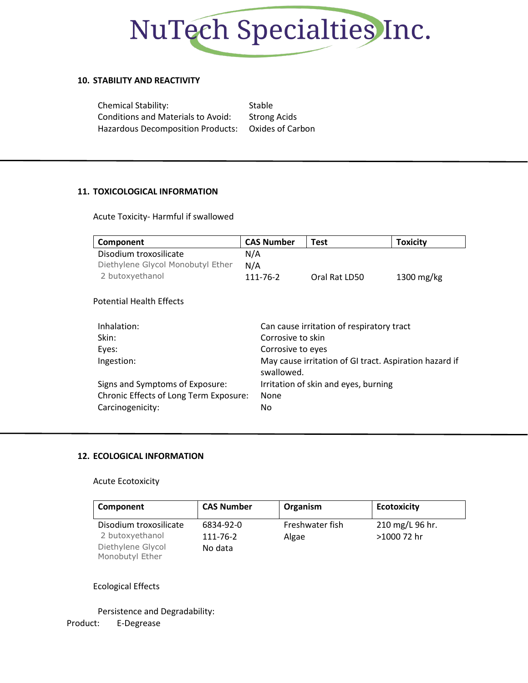

## **10. STABILITY AND REACTIVITY**

Chemical Stability: Stable Conditions and Materials to Avoid: Strong Acids Hazardous Decomposition Products: Oxides of Carbon

## **11. TOXICOLOGICAL INFORMATION**

Acute Toxicity- Harmful if swallowed

| Component                              | <b>CAS Number</b> | <b>Test</b>                                            | <b>Toxicity</b>         |
|----------------------------------------|-------------------|--------------------------------------------------------|-------------------------|
| Disodium troxosilicate                 | N/A               |                                                        |                         |
| Diethylene Glycol Monobutyl Ether      | N/A               |                                                        |                         |
| 2 butoxyethanol                        | 111-76-2          | Oral Rat LD50                                          | $1300 \,\mathrm{mg/kg}$ |
| <b>Potential Health Effects</b>        |                   |                                                        |                         |
| Inhalation:                            |                   | Can cause irritation of respiratory tract              |                         |
| Skin:                                  | Corrosive to skin |                                                        |                         |
| Eyes:                                  | Corrosive to eyes |                                                        |                         |
| Ingestion:                             | swallowed.        | May cause irritation of GI tract. Aspiration hazard if |                         |
| Signs and Symptoms of Exposure:        |                   | Irritation of skin and eyes, burning                   |                         |
| Chronic Effects of Long Term Exposure: | None              |                                                        |                         |
| Carcinogenicity:                       | No.               |                                                        |                         |

## **12. ECOLOGICAL INFORMATION**

## Acute Ecotoxicity

| Component                                 | <b>CAS Number</b>     | Organism                 | <b>Ecotoxicity</b>             |
|-------------------------------------------|-----------------------|--------------------------|--------------------------------|
| Disodium troxosilicate<br>2 butoxyethanol | 6834-92-0<br>111-76-2 | Freshwater fish<br>Algae | 210 mg/L 96 hr.<br>>1000 72 hr |
| Diethylene Glycol<br>Monobutyl Ether      | No data               |                          |                                |

## Ecological Effects

Product: E-Degrease Persistence and Degradability: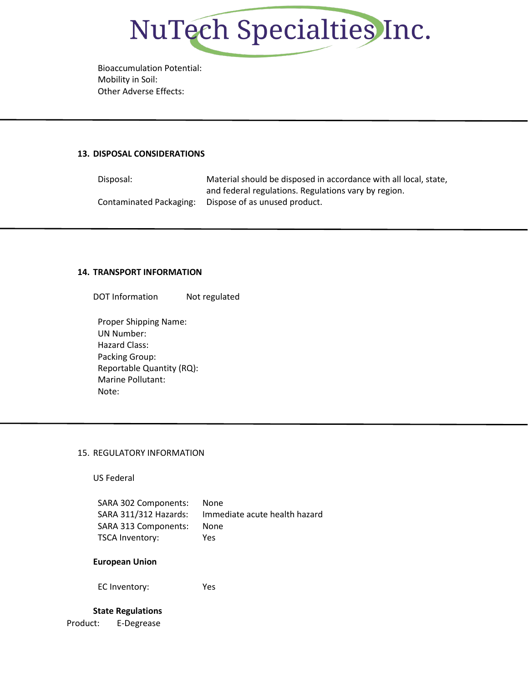

Bioaccumulation Potential: Mobility in Soil: Other Adverse Effects:

#### **13. DISPOSAL CONSIDERATIONS**

Disposal: Material should be disposed in accordance with all local, state, and federal regulations. Regulations vary by region. Contaminated Packaging: Dispose of as unused product.

#### **14. TRANSPORT INFORMATION**

DOT Information Not regulated

Proper Shipping Name: UN Number: Hazard Class: Packing Group: Reportable Quantity (RQ): Marine Pollutant: Note:

#### 15. REGULATORY INFORMATION

US Federal

| SARA 302 Components:  | None                          |
|-----------------------|-------------------------------|
| SARA 311/312 Hazards: | Immediate acute health hazard |
| SARA 313 Components:  | None                          |
| TSCA Inventory:       | Yes                           |

#### **European Union**

EC Inventory: Yes

## Product: E-Degrease **State Regulations**